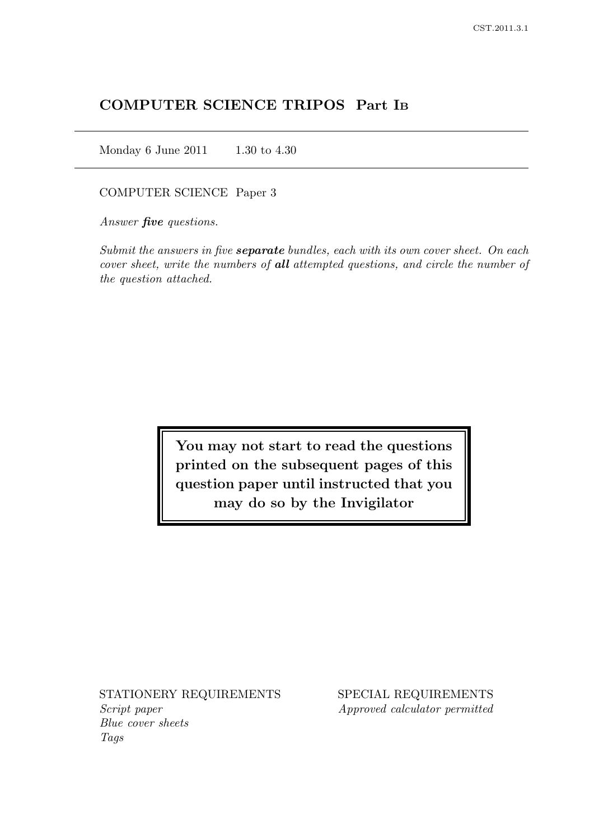# COMPUTER SCIENCE TRIPOS Part I<sup>B</sup>

Monday 6 June 2011 1.30 to 4.30

#### COMPUTER SCIENCE Paper 3

Answer **five** questions.

Submit the answers in five **separate** bundles, each with its own cover sheet. On each cover sheet, write the numbers of all attempted questions, and circle the number of the question attached.

> You may not start to read the questions printed on the subsequent pages of this question paper until instructed that you may do so by the Invigilator

Script paper Approved calculator permitted Blue cover sheets Tags

STATIONERY REQUIREMENTS SPECIAL REQUIREMENTS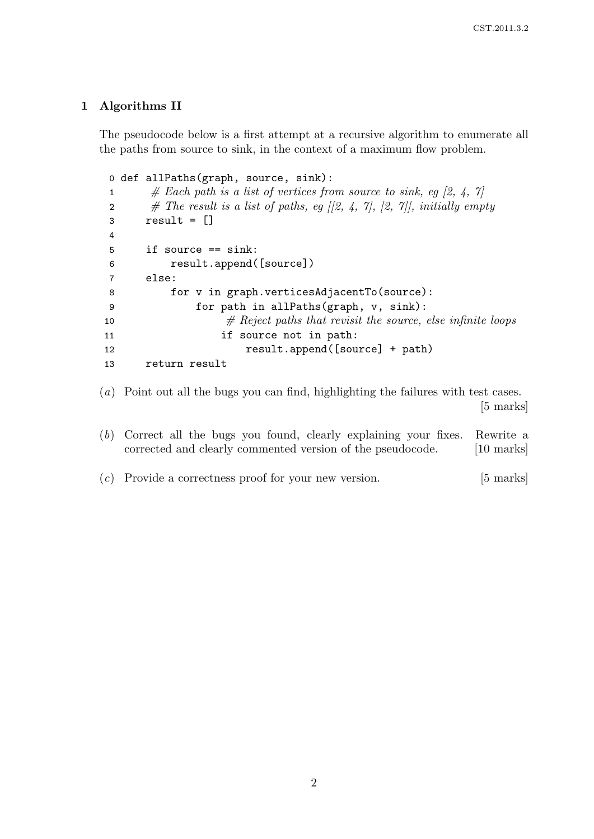## 1 Algorithms II

The pseudocode below is a first attempt at a recursive algorithm to enumerate all the paths from source to sink, in the context of a maximum flow problem.

```
0 def allPaths(graph, source, sink):
1 \# Each path is a list of vertices from source to sink, eq [2, 4, 7]
2 # The result is a list of paths, eg [2, 4, 7], [2, 7], initially empty
3 result = \begin{bmatrix} \end{bmatrix}4
5 if source == sink:
6 result.append([source])
7 else:
8 for v in graph.verticesAdjacentTo(source):
9 for path in allPaths(graph, v, sink):
10 \# Reject paths that revisit the source, else infinite loops
11 if source not in path:
12 result.append([source] + path)
13 return result
```
(a) Point out all the bugs you can find, highlighting the failures with test cases. [5 marks]

- (b) Correct all the bugs you found, clearly explaining your fixes. Rewrite a corrected and clearly commented version of the pseudocode. [10 marks]
- $(c)$  Provide a correctness proof for your new version. [5 marks]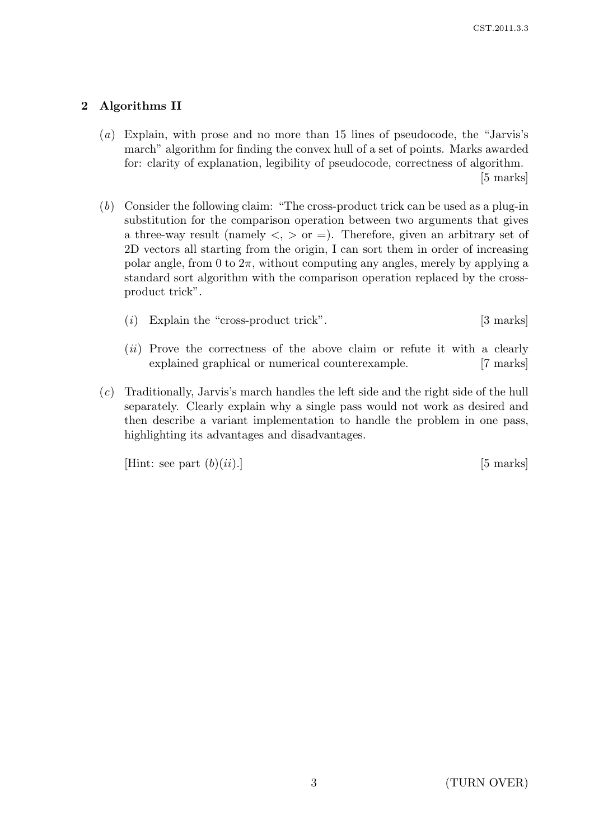## 2 Algorithms II

- (a) Explain, with prose and no more than 15 lines of pseudocode, the "Jarvis's march" algorithm for finding the convex hull of a set of points. Marks awarded for: clarity of explanation, legibility of pseudocode, correctness of algorithm. [5 marks]
- (b) Consider the following claim: "The cross-product trick can be used as a plug-in substitution for the comparison operation between two arguments that gives a three-way result (namely  $\langle , \rangle$  or  $=$ ). Therefore, given an arbitrary set of 2D vectors all starting from the origin, I can sort them in order of increasing polar angle, from 0 to  $2\pi$ , without computing any angles, merely by applying a standard sort algorithm with the comparison operation replaced by the crossproduct trick".
	- (i) Explain the "cross-product trick". [3 marks]
	- (*ii*) Prove the correctness of the above claim or refute it with a clearly explained graphical or numerical counterexample. [7 marks]
- (c) Traditionally, Jarvis's march handles the left side and the right side of the hull separately. Clearly explain why a single pass would not work as desired and then describe a variant implementation to handle the problem in one pass, highlighting its advantages and disadvantages.

[Hint: see part  $(b)(ii)$ .] [5 marks]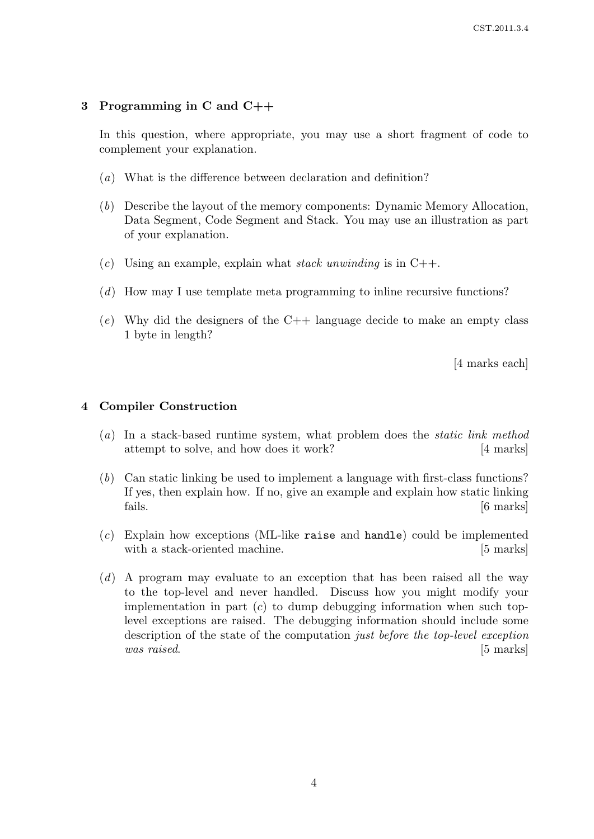### 3 Programming in C and C++

In this question, where appropriate, you may use a short fragment of code to complement your explanation.

- (a) What is the difference between declaration and definition?
- (b) Describe the layout of the memory components: Dynamic Memory Allocation, Data Segment, Code Segment and Stack. You may use an illustration as part of your explanation.
- (c) Using an example, explain what stack unwinding is in  $C++$ .
- (d) How may I use template meta programming to inline recursive functions?
- (e) Why did the designers of the  $C++$  language decide to make an empty class 1 byte in length?

[4 marks each]

#### 4 Compiler Construction

- (a) In a stack-based runtime system, what problem does the static link method attempt to solve, and how does it work? [4 marks]
- (b) Can static linking be used to implement a language with first-class functions? If yes, then explain how. If no, give an example and explain how static linking fails. [6 marks]
- (c) Explain how exceptions (ML-like raise and handle) could be implemented with a stack-oriented machine. [5 marks]
- (d) A program may evaluate to an exception that has been raised all the way to the top-level and never handled. Discuss how you might modify your implementation in part  $(c)$  to dump debugging information when such toplevel exceptions are raised. The debugging information should include some description of the state of the computation just before the top-level exception was raised. [5 marks]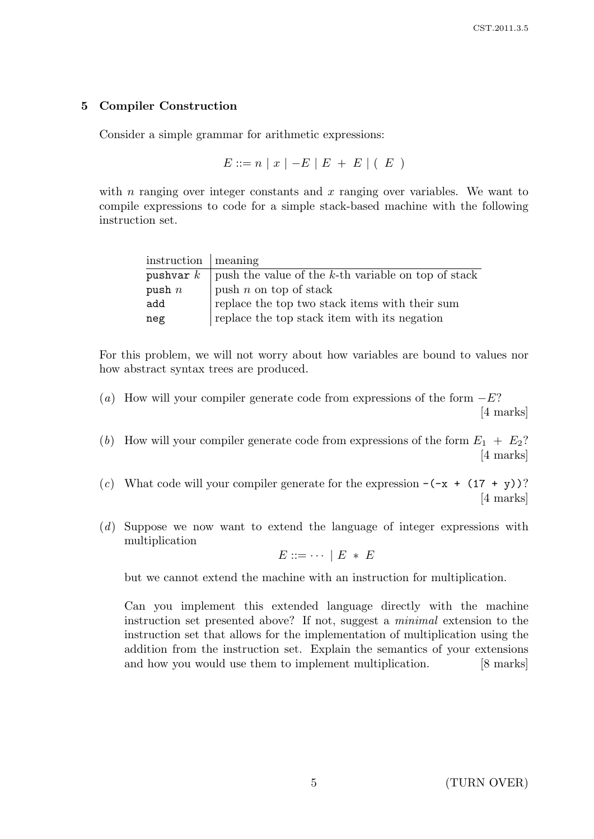## 5 Compiler Construction

Consider a simple grammar for arithmetic expressions:

$$
E ::= n | x | -E | E + E | (E)
$$

with n ranging over integer constants and  $x$  ranging over variables. We want to compile expressions to code for a simple stack-based machine with the following instruction set.

| $\frac{1}{2}$ instruction   meaning |                                                                   |  |
|-------------------------------------|-------------------------------------------------------------------|--|
|                                     | pushvar $k$   push the value of the k-th variable on top of stack |  |
| push $n$                            | push $n$ on top of stack                                          |  |
| add                                 | replace the top two stack items with their sum                    |  |
| neg                                 | replace the top stack item with its negation                      |  |

For this problem, we will not worry about how variables are bound to values nor how abstract syntax trees are produced.

(a) How will your compiler generate code from expressions of the form  $-E$ ? [4 marks]

(b) How will your compiler generate code from expressions of the form  $E_1 + E_2$ ? [4 marks]

(c) What code will your compiler generate for the expression  $-(-x + (17 + y))^2$ [4 marks]

(d) Suppose we now want to extend the language of integer expressions with multiplication

$$
E ::= \cdots \mid E * E
$$

but we cannot extend the machine with an instruction for multiplication.

Can you implement this extended language directly with the machine instruction set presented above? If not, suggest a minimal extension to the instruction set that allows for the implementation of multiplication using the addition from the instruction set. Explain the semantics of your extensions and how you would use them to implement multiplication. [8 marks]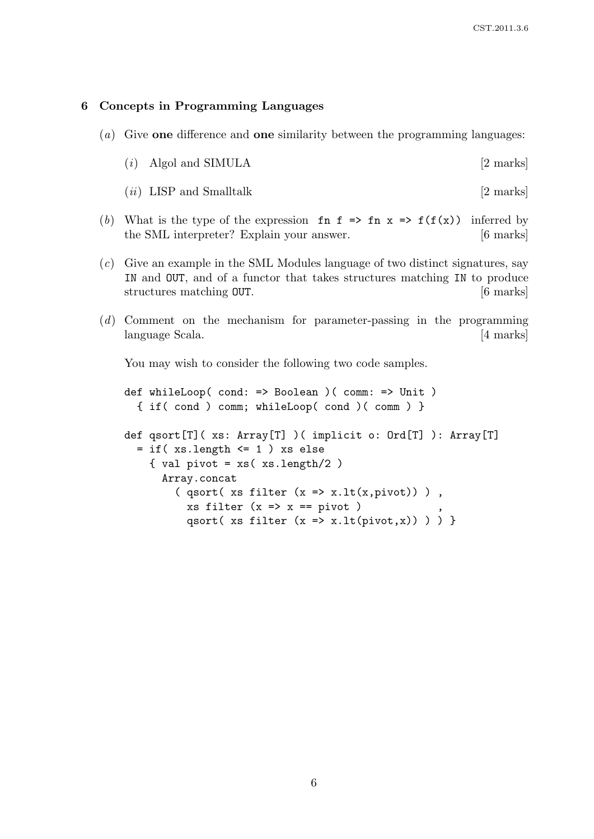#### 6 Concepts in Programming Languages

(a) Give one difference and one similarity between the programming languages:

|  | $(i)$ Algol and SIMULA | 12 marks |
|--|------------------------|----------|
|--|------------------------|----------|

- $(ii)$  LISP and Smalltalk  $[2 \text{ marks}]$
- (b) What is the type of the expression fn f => fn x => f(f(x)) inferred by the SML interpreter? Explain your answer. [6 marks]
- (c) Give an example in the SML Modules language of two distinct signatures, say IN and OUT, and of a functor that takes structures matching IN to produce structures matching **OUT**. [6 marks]
- (d) Comment on the mechanism for parameter-passing in the programming language Scala. [4 marks]

You may wish to consider the following two code samples.

def whileLoop( cond: => Boolean )( comm: => Unit ) { if( cond ) comm; whileLoop( cond )( comm ) } def qsort[T]( xs: Array[T] )( implicit o: Ord[T] ): Array[T]  $=$  if( $xs.length \leq 1$ ) xs else { val pivot =  $xs$  ( $xs.length/2$ ) Array.concat  $($  qsort( xs filter  $(x \Rightarrow x.lt(x, pivot)) )$  ,  $xs$  filter  $(x \Rightarrow x == pivot)$ qsort( xs filter  $(x \Rightarrow x.lt(pivot,x)) ) )$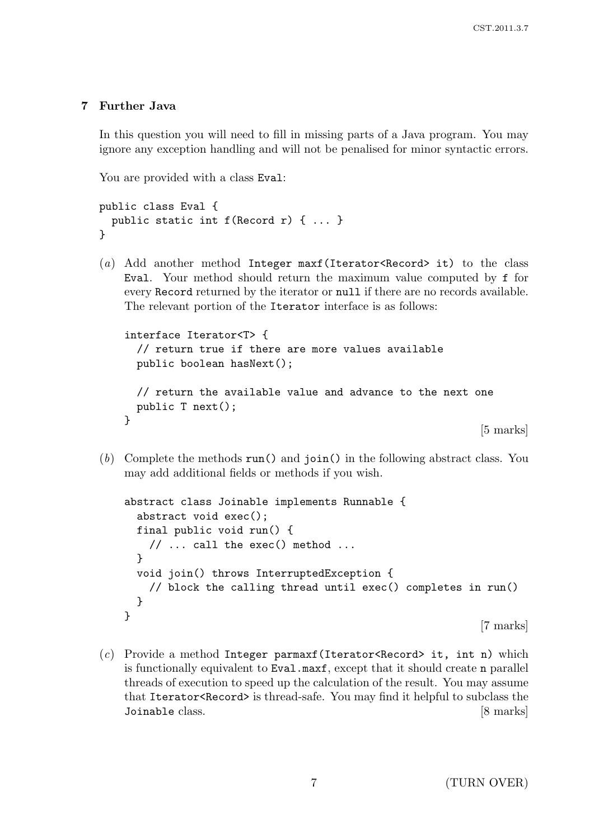## 7 Further Java

In this question you will need to fill in missing parts of a Java program. You may ignore any exception handling and will not be penalised for minor syntactic errors.

You are provided with a class Eval:

```
public class Eval {
 public static int f(Record r) { ... }
}
```
(a) Add another method Integer maxf(Iterator<Record> it) to the class Eval. Your method should return the maximum value computed by f for every Record returned by the iterator or null if there are no records available. The relevant portion of the Iterator interface is as follows:

```
interface Iterator<T> {
 // return true if there are more values available
 public boolean hasNext();
 // return the available value and advance to the next one
 public T next();
}
```
[5 marks]

(b) Complete the methods run() and join() in the following abstract class. You may add additional fields or methods if you wish.

```
abstract class Joinable implements Runnable {
  abstract void exec();
  final public void run() {
    // \ldots call the exec() method \ldots}
  void join() throws InterruptedException {
    // block the calling thread until exec() completes in run()
  }
}
                                                            [7 marks]
```
(c) Provide a method Integer parmaxf (Iterator<Record> it, int n) which is functionally equivalent to Eval.maxf, except that it should create n parallel threads of execution to speed up the calculation of the result. You may assume that Iterator<Record> is thread-safe. You may find it helpful to subclass the Joinable class. [8 marks]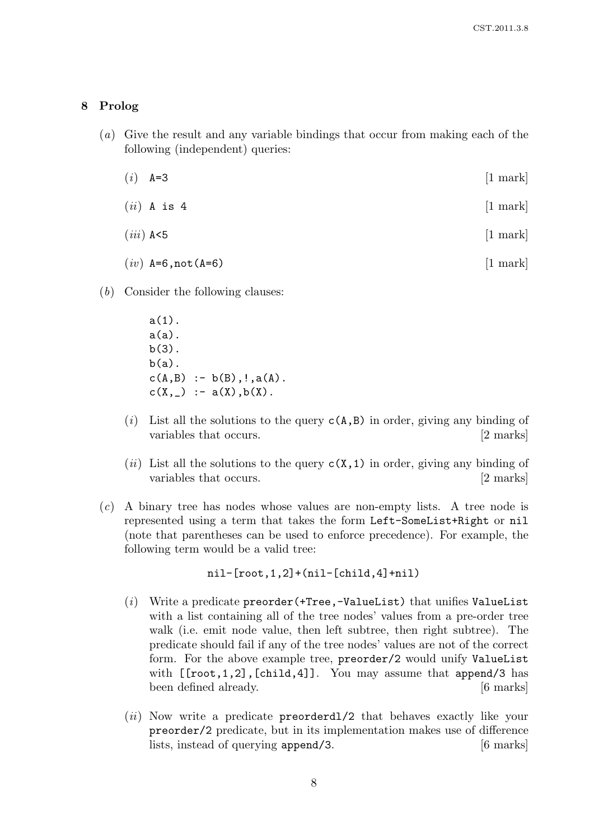#### 8 Prolog

- (a) Give the result and any variable bindings that occur from making each of the following (independent) queries:
	- (*i*)  $A=3$  [1 mark]
	- $(ii)$  A is 4 [1 mark]
	- $(iii)$  A<5 [1 mark]
	- $(iv)$  A=6,not(A=6) [1 mark]
- (b) Consider the following clauses:

a(1).  $a(a)$ .  $b(3)$ .  $b(a)$ .  $c(A,B) := b(B), !, a(A).$  $c(X, ) := a(X), b(X).$ 

- (i) List all the solutions to the query  $c(A,B)$  in order, giving any binding of variables that occurs. [2 marks]
- (ii) List all the solutions to the query  $c(X,1)$  in order, giving any binding of variables that occurs. [2 marks]
- (c) A binary tree has nodes whose values are non-empty lists. A tree node is represented using a term that takes the form Left-SomeList+Right or nil (note that parentheses can be used to enforce precedence). For example, the following term would be a valid tree:

nil-[root,1,2]+(nil-[child,4]+nil)

- (i) Write a predicate preorder(+Tree,-ValueList) that unifies ValueList with a list containing all of the tree nodes' values from a pre-order tree walk (i.e. emit node value, then left subtree, then right subtree). The predicate should fail if any of the tree nodes' values are not of the correct form. For the above example tree, preorder/2 would unify ValueList with  $[$ [root,1,2],[child,4]]. You may assume that append/3 has been defined already. [6 marks]
- (*ii*) Now write a predicate **preorderdl**/2 that behaves exactly like your preorder/2 predicate, but in its implementation makes use of difference lists, instead of querying append/3. [6 marks]